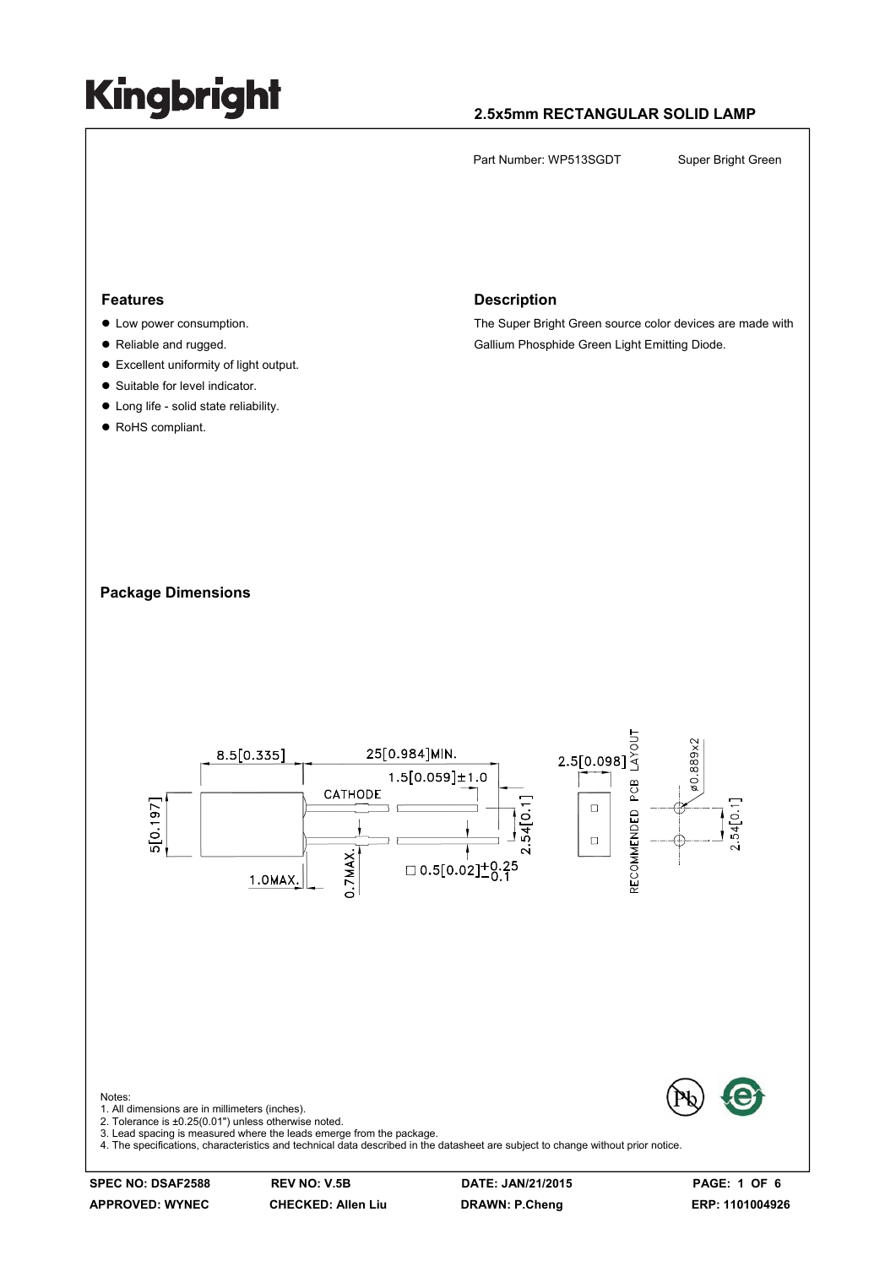#### **2.5x5mm RECTANGULAR SOLID LAMP**

Part Number: WP513SGDT Super Bright Green

#### **Features**

- Low power consumption.
- Reliable and rugged.
- $\bullet$  Excellent uniformity of light output.
- Suitable for level indicator.
- $\bullet$  Long life solid state reliability.
- RoHS compliant.

#### **Description**

The Super Bright Green source color devices are made with Gallium Phosphide Green Light Emitting Diode.

#### **Package Dimensions**

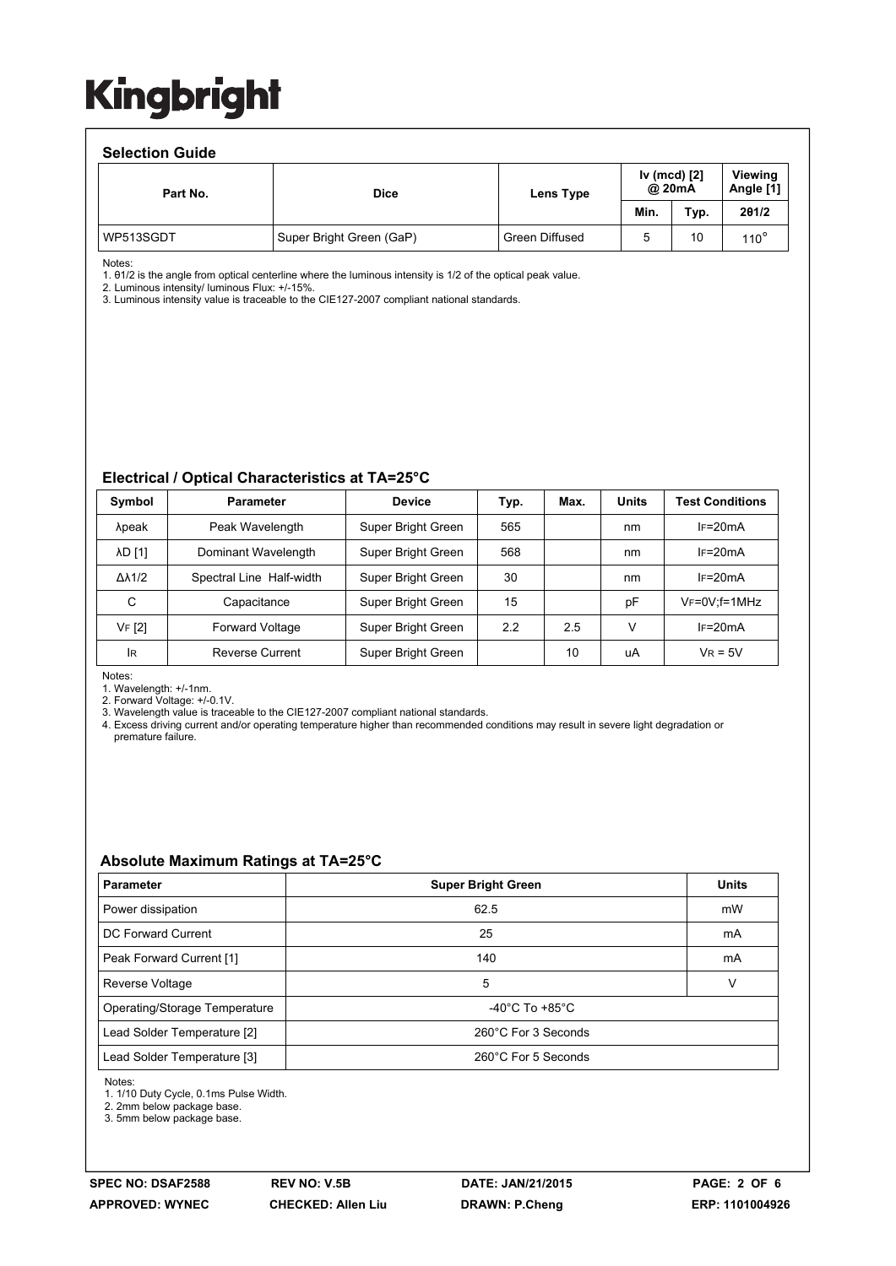#### **Selection Guide**

| -------------- |                          |                |      |                        |               |  |                             |  |  |  |
|----------------|--------------------------|----------------|------|------------------------|---------------|--|-----------------------------|--|--|--|
| Part No.       | <b>Dice</b>              | Lens Type      |      | Iv (mcd) [2]<br>@ 20mA |               |  | <b>Viewing</b><br>Angle [1] |  |  |  |
|                |                          |                | Min. | Typ.                   | 201/2         |  |                             |  |  |  |
| WP513SGDT      | Super Bright Green (GaP) | Green Diffused |      | 10                     | $110^{\circ}$ |  |                             |  |  |  |

Notes:

1. θ1/2 is the angle from optical centerline where the luminous intensity is 1/2 of the optical peak value.

2. Luminous intensity/ luminous Flux: +/-15%.

3. Luminous intensity value is traceable to the CIE127-2007 compliant national standards.

#### **Electrical / Optical Characteristics at TA=25°C**

| Symbol              | <b>Parameter</b>         | <b>Device</b>      | Typ. | Max. | <b>Units</b> | <b>Test Conditions</b> |
|---------------------|--------------------------|--------------------|------|------|--------------|------------------------|
| λpeak               | Peak Wavelength          | Super Bright Green | 565  |      | nm           | $IF=20mA$              |
| <b>AD [1]</b>       | Dominant Wavelength      | Super Bright Green | 568  |      | nm           | $IF=20mA$              |
| $\Delta\lambda$ 1/2 | Spectral Line Half-width | Super Bright Green | 30   |      | nm           | $IF=20mA$              |
| C                   | Capacitance              | Super Bright Green | 15   |      | pF           | $V_F = 0V$ ; f = 1MHz  |
| VF [2]              | <b>Forward Voltage</b>   | Super Bright Green | 2.2  | 2.5  | V            | $IF=20mA$              |
| <b>IR</b>           | Reverse Current          | Super Bright Green |      | 10   | uA           | $V_R = 5V$             |

Notes:

1. Wavelength: +/-1nm.

2. Forward Voltage: +/-0.1V.<br>3. Wavelength value is traceable to the CIE127-2007 compliant national standards.

4. Excess driving current and/or operating temperature higher than recommended conditions may result in severe light degradation or premature failure.

#### **Absolute Maximum Ratings at TA=25°C**

| <b>Parameter</b>              | <b>Super Bright Green</b>          | <b>Units</b> |  |
|-------------------------------|------------------------------------|--------------|--|
| Power dissipation             | 62.5                               | mW           |  |
| DC Forward Current            | 25                                 | mA           |  |
| Peak Forward Current [1]      | 140                                | mA           |  |
| Reverse Voltage               | 5                                  | v            |  |
| Operating/Storage Temperature | $-40^{\circ}$ C To $+85^{\circ}$ C |              |  |
| Lead Solder Temperature [2]   | 260°C For 3 Seconds                |              |  |
| Lead Solder Temperature [3]   | 260°C For 5 Seconds                |              |  |

Notes:

1. 1/10 Duty Cycle, 0.1ms Pulse Width.

2. 2mm below package base.

3. 5mm below package base.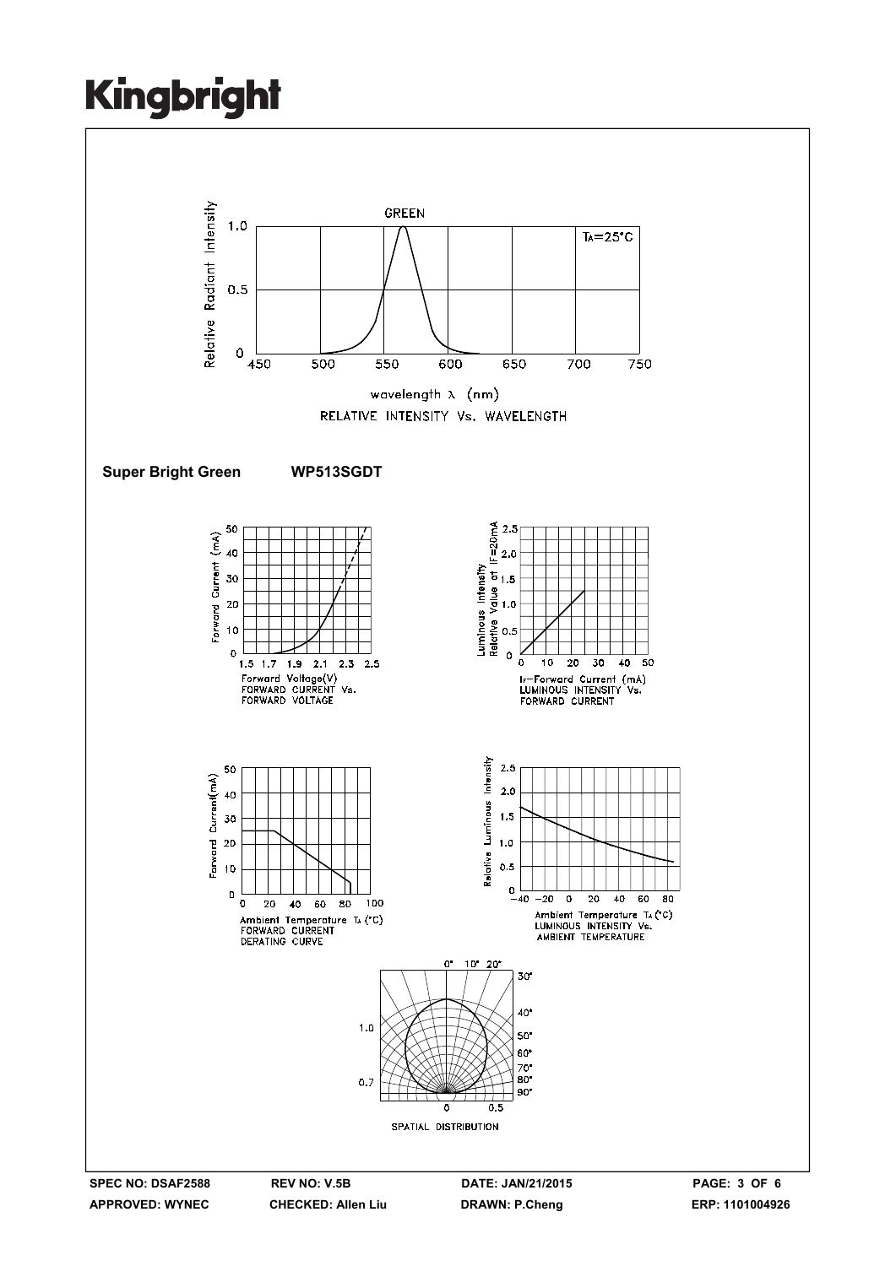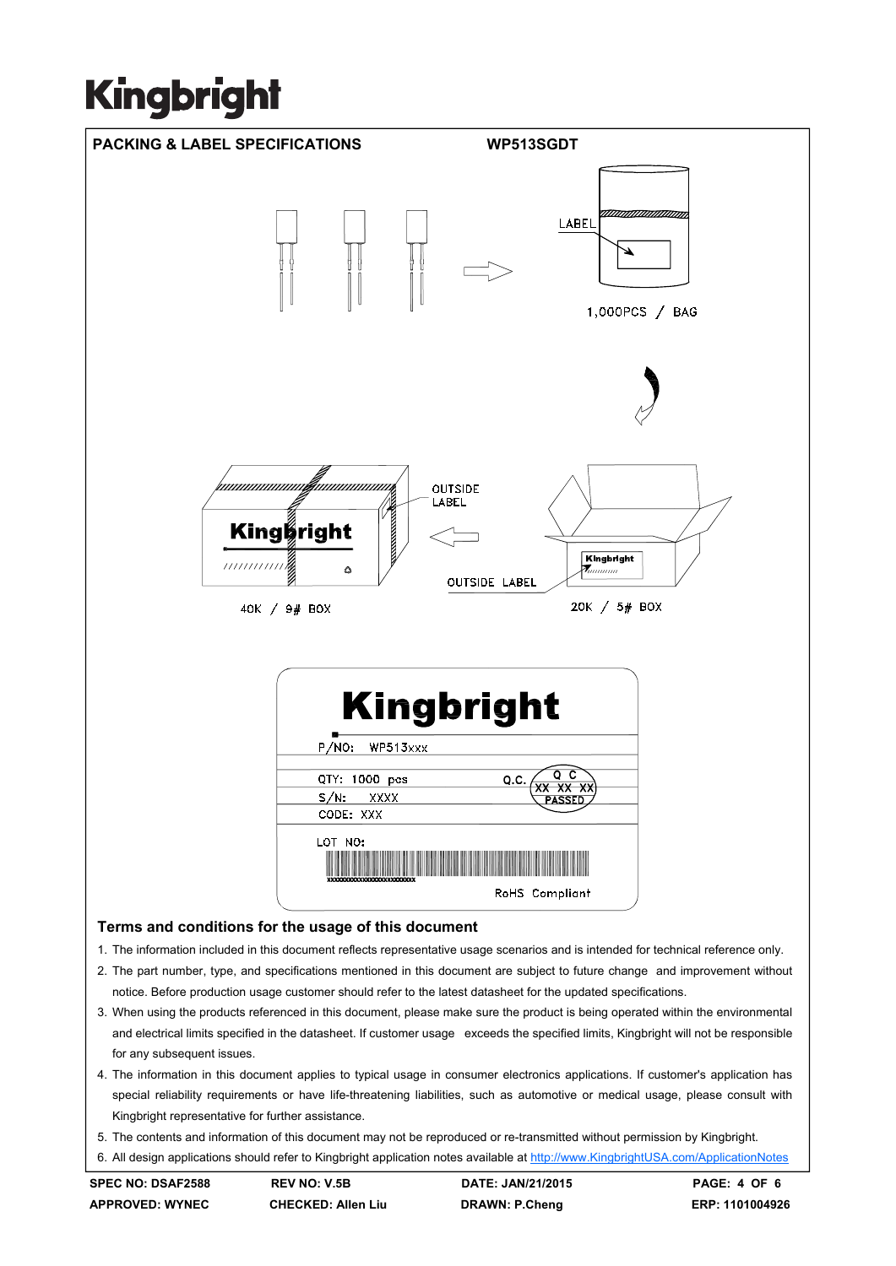

- 4. The information in this document applies to typical usage in consumer electronics applications. If customer's application has special reliability requirements or have life-threatening liabilities, such as automotive or medical usage, please consult with Kingbright representative for further assistance.
- 5. The contents and information of this document may not be reproduced or re-transmitted without permission by Kingbright.

6. All design applications should refer to Kingbright application notes available at http://www.KingbrightUSA.com/ApplicationNotes

**APPROVED: WYNEC CHECKED: Allen Liu DRAWN: P.Cheng ERP: 1101004926** 

for any subsequent issues.

**SPEC NO: DSAF2588 REV NO: V.5B DATE: JAN/21/2015 PAGE: 4 OF 6**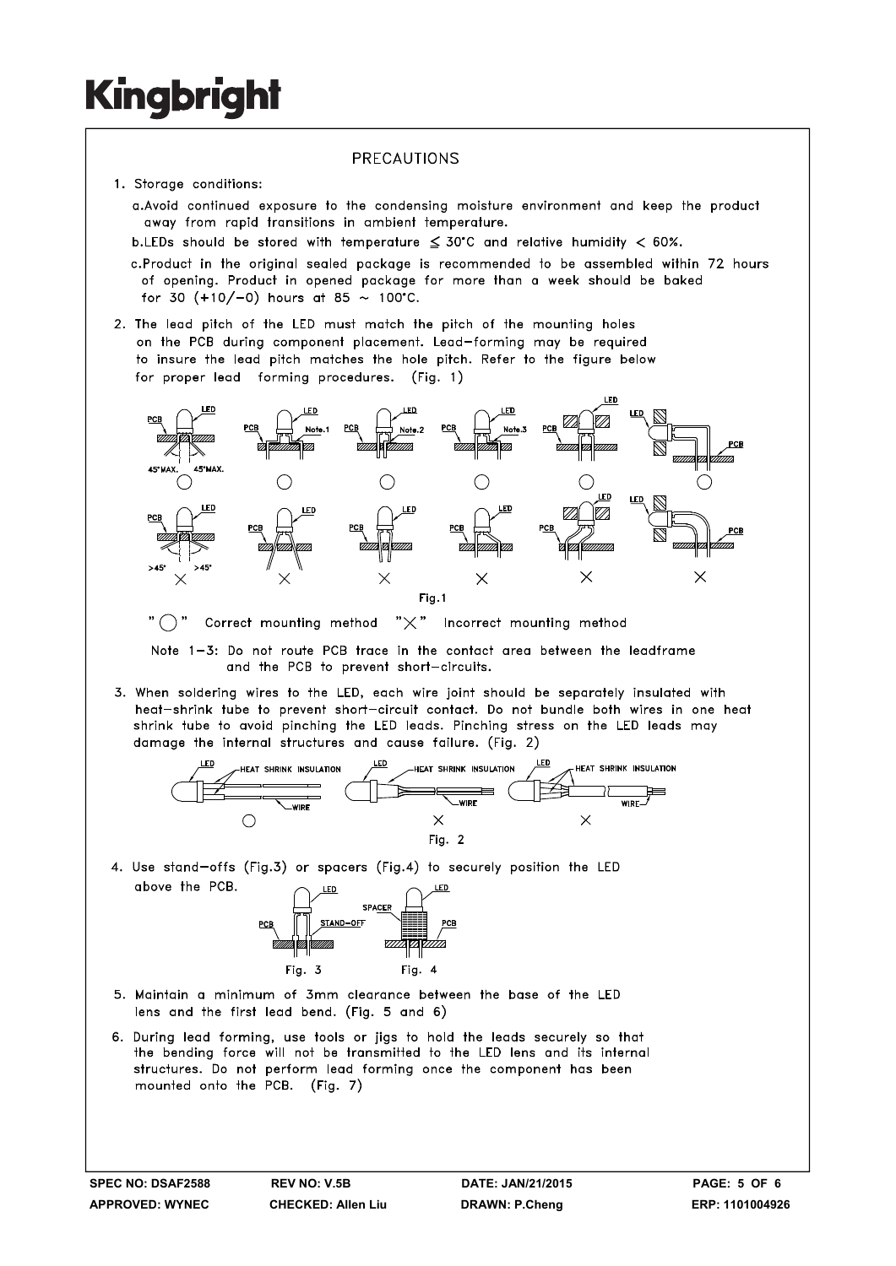#### PRECAUTIONS

- 1. Storage conditions:
	- a. Avoid continued exposure to the condensing moisture environment and keep the product away from rapid transitions in ambient temperature.
	- b.LEDs should be stored with temperature  $\leq 30^{\circ}$ C and relative humidity < 60%.
	- c.Product in the original sealed package is recommended to be assembled within 72 hours of opening. Product in opened package for more than a week should be baked for 30  $(+10/-0)$  hours at 85 ~ 100°C.
- 2. The lead pitch of the LED must match the pitch of the mounting holes on the PCB during component placement. Lead-forming may be required to insure the lead pitch matches the hole pitch. Refer to the figure below for proper lead forming procedures. (Fig. 1)



"  $\bigcap$  " Correct mounting method " $\times$ " Incorrect mounting method

Note 1-3: Do not route PCB trace in the contact area between the leadframe and the PCB to prevent short-circuits.

3. When soldering wires to the LED, each wire joint should be separately insulated with heat-shrink tube to prevent short-circuit contact. Do not bundle both wires in one heat shrink tube to avoid pinching the LED leads. Pinching stress on the LED leads may damage the internal structures and cause failure. (Fig. 2)



4. Use stand-offs (Fig.3) or spacers (Fig.4) to securely position the LED above the PCB.



- 5. Maintain a minimum of 3mm clearance between the base of the LED lens and the first lead bend. (Fig. 5 and 6)
- 6. During lead forming, use tools or jigs to hold the leads securely so that the bending force will not be transmitted to the LED lens and its internal structures. Do not perform lead forming once the component has been mounted onto the PCB. (Fig. 7)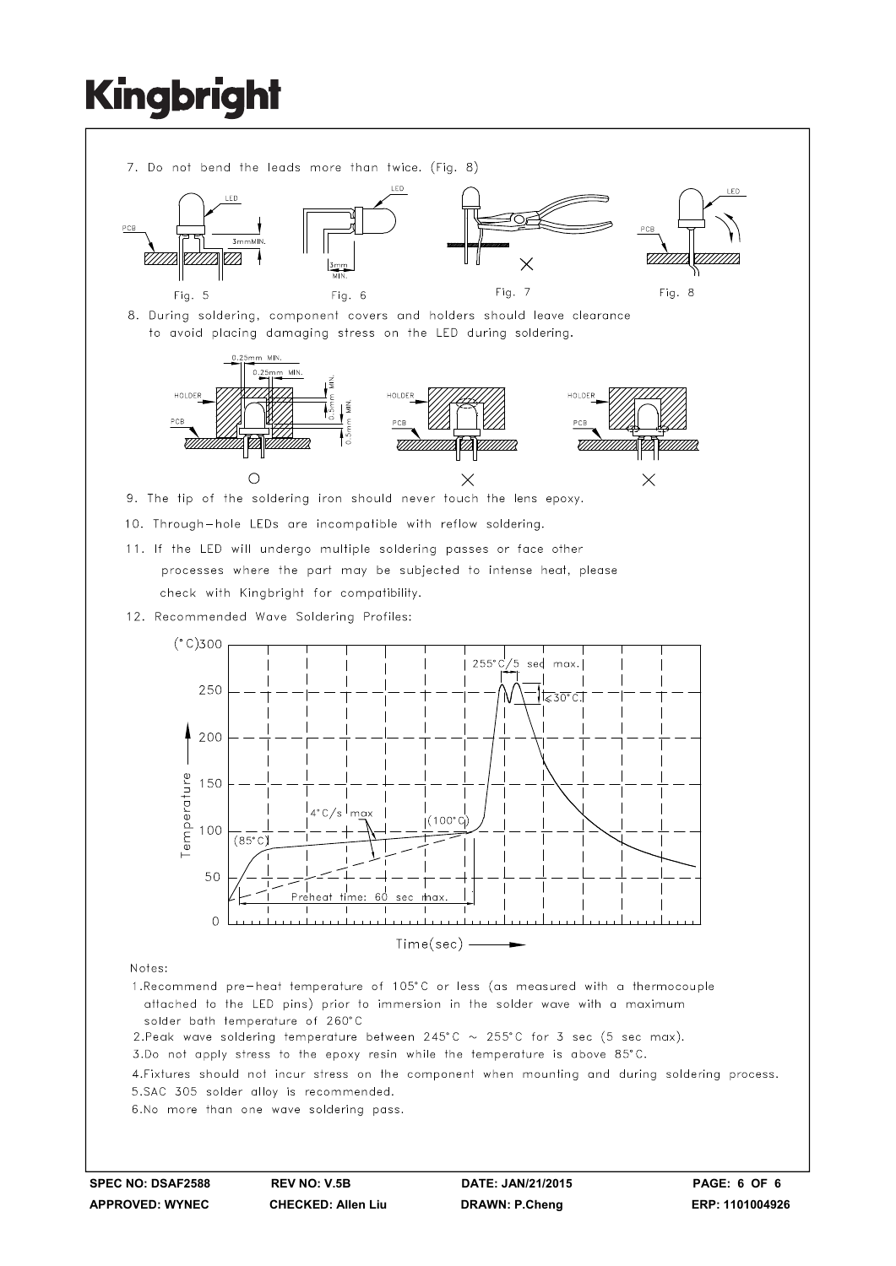

- attached to the LED pins) prior to immersion in the solder wave with a maximum solder bath temperature of 260°C
- 2. Peak wave soldering temperature between 245°C  $\sim$  255°C for 3 sec (5 sec max).
- 3.Do not apply stress to the epoxy resin while the temperature is above 85°C.
- 4. Fixtures should not incur stress on the component when mounting and during soldering process. 5.SAC 305 solder alloy is recommended.

6.No more than one wave soldering pass.